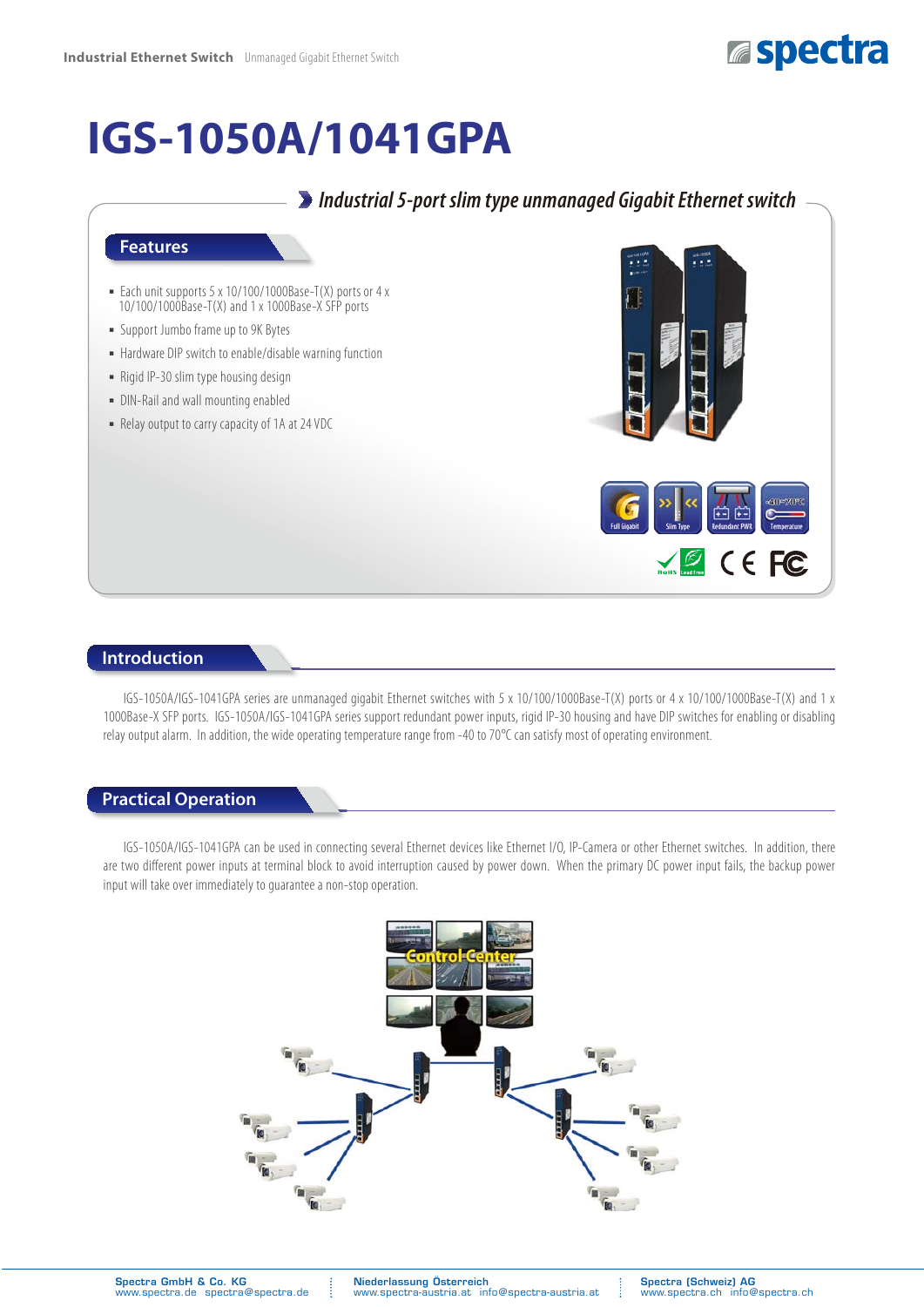

# **IGS-1050A/1041GPA**

# *Industrial 5-port slim type unmanaged Gigabit Ethernet switch*

#### **Features**

- Each unit supports 5 x 10/100/1000Base-T(X) ports or 4 x 10/100/1000Base-T(X) and 1 x 1000Base-X SFP ports
- ͑ؼ͑Support Jumbo frame up to 9K Bytes
- Hardware DIP switch to enable/disable warning function
- Rigid IP-30 slim type housing design
- DIN-Rail and wall mounting enabled
- Relay output to carry capacity of 1A at 24 VDC



#### **Introduction**

IGS-1050A/IGS-1041GPA series are unmanaged gigabit Ethernet switches with 5 x 10/100/1000Base-T(X) ports or 4 x 10/100/1000Base-T(X) and 1 x 1000Base-X SFP ports. IGS-1050A/IGS-1041GPA series support redundant power inputs, rigid IP-30 housing and have DIP switches for enabling or disabling relay output alarm. In addition, the wide operating temperature range from -40 to 70°C can satisfy most of operating environment.

#### **Practical Operation**

IGS-1050A/IGS-1041GPA can be used in connecting several Ethernet devices like Ethernet I/O, IP-Camera or other Ethernet switches. In addition, there are two different power inputs at terminal block to avoid interruption caused by power down. When the primary DC power input fails, the backup power input will take over immediately to guarantee a non-stop operation.

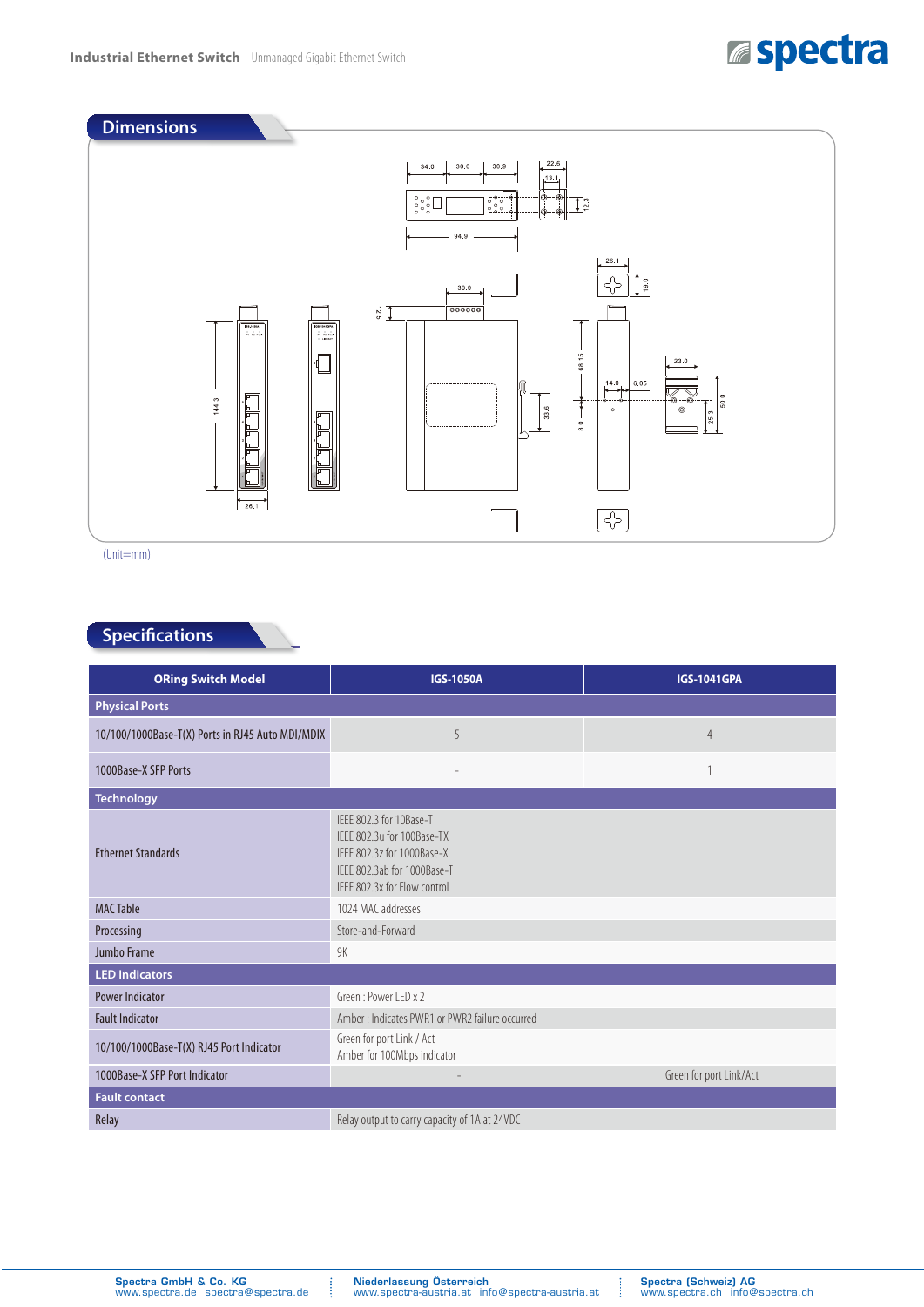# **Espectra**



(Unit=mm)

### **Specifications**

| <b>ORing Switch Model</b>                        | <b>IGS-1050A</b>                                                                                                                                   | <b>IGS-1041GPA</b> |  |  |
|--------------------------------------------------|----------------------------------------------------------------------------------------------------------------------------------------------------|--------------------|--|--|
| <b>Physical Ports</b>                            |                                                                                                                                                    |                    |  |  |
| 10/100/1000Base-T(X) Ports in RJ45 Auto MDI/MDIX | 5                                                                                                                                                  | 4                  |  |  |
| 1000Base-X SFP Ports                             |                                                                                                                                                    |                    |  |  |
| <b>Technology</b>                                |                                                                                                                                                    |                    |  |  |
| <b>Ethernet Standards</b>                        | IFFF 802.3 for 10Base-T<br>IFFF 802.3u for 100Base-TX<br>IFFF 802.3z for 1000Base-X<br>IFFF 802.3ab for 1000Base-T<br>IFFF 802.3x for Flow control |                    |  |  |
| <b>MAC Table</b>                                 | 1024 MAC addresses                                                                                                                                 |                    |  |  |
| Processing                                       | Store-and-Forward                                                                                                                                  |                    |  |  |
| Jumbo Frame                                      | 9K                                                                                                                                                 |                    |  |  |
| <b>LED Indicators</b>                            |                                                                                                                                                    |                    |  |  |
| <b>Power Indicator</b>                           | Green: Power LED x 2                                                                                                                               |                    |  |  |
| <b>Fault Indicator</b>                           | Amber: Indicates PWR1 or PWR2 failure occurred                                                                                                     |                    |  |  |
| 10/100/1000Base-T(X) RJ45 Port Indicator         | Green for port Link / Act<br>Amber for 100Mbps indicator                                                                                           |                    |  |  |
| 1000Base-X SFP Port Indicator                    | Green for port Link/Act                                                                                                                            |                    |  |  |
| <b>Fault contact</b>                             |                                                                                                                                                    |                    |  |  |
| Relay                                            | Relay output to carry capacity of 1A at 24VDC                                                                                                      |                    |  |  |